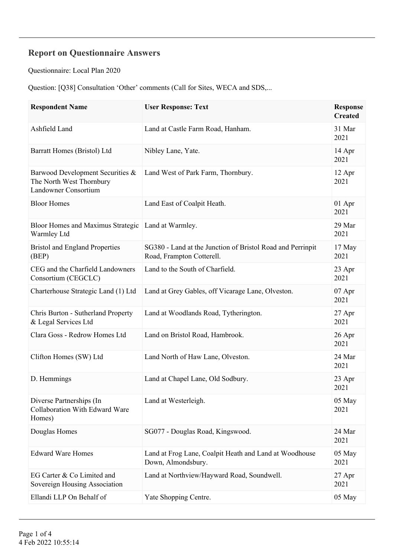## **Report on Questionnaire Answers**

Questionnaire: Local Plan 2020

Question: [Q38] Consultation 'Other' comments (Call for Sites, WECA and SDS,...

| <b>Respondent Name</b>                                                               | <b>User Response: Text</b>                                                              | <b>Response</b><br><b>Created</b> |
|--------------------------------------------------------------------------------------|-----------------------------------------------------------------------------------------|-----------------------------------|
| Ashfield Land                                                                        | Land at Castle Farm Road, Hanham.                                                       | 31 Mar<br>2021                    |
| Barratt Homes (Bristol) Ltd                                                          | Nibley Lane, Yate.                                                                      | 14 Apr<br>2021                    |
| Barwood Development Securities &<br>The North West Thornbury<br>Landowner Consortium | Land West of Park Farm, Thornbury.                                                      | 12 Apr<br>2021                    |
| <b>Bloor Homes</b>                                                                   | Land East of Coalpit Heath.                                                             | 01 Apr<br>2021                    |
| <b>Bloor Homes and Maximus Strategic</b><br>Warmley Ltd                              | Land at Warmley.                                                                        | 29 Mar<br>2021                    |
| <b>Bristol and England Properties</b><br>(BEP)                                       | SG380 - Land at the Junction of Bristol Road and Perrinpit<br>Road, Frampton Cotterell. | 17 May<br>2021                    |
| CEG and the Charfield Landowners<br>Consortium (CEGCLC)                              | Land to the South of Charfield.                                                         | 23 Apr<br>2021                    |
| Charterhouse Strategic Land (1) Ltd                                                  | Land at Grey Gables, off Vicarage Lane, Olveston.                                       | 07 Apr<br>2021                    |
| Chris Burton - Sutherland Property<br>& Legal Services Ltd                           | Land at Woodlands Road, Tytherington.                                                   | 27 Apr<br>2021                    |
| Clara Goss - Redrow Homes Ltd                                                        | Land on Bristol Road, Hambrook.                                                         | 26 Apr<br>2021                    |
| Clifton Homes (SW) Ltd                                                               | Land North of Haw Lane, Olveston.                                                       | 24 Mar<br>2021                    |
| D. Hemmings                                                                          | Land at Chapel Lane, Old Sodbury.                                                       | 23 Apr<br>2021                    |
| Diverse Partnerships (In<br>Collaboration With Edward Ware<br>Homes)                 | Land at Westerleigh.                                                                    | 05 May<br>2021                    |
| Douglas Homes                                                                        | SG077 - Douglas Road, Kingswood.                                                        | 24 Mar<br>2021                    |
| <b>Edward Ware Homes</b>                                                             | Land at Frog Lane, Coalpit Heath and Land at Woodhouse<br>Down, Almondsbury.            | 05 May<br>2021                    |
| EG Carter & Co Limited and<br>Sovereign Housing Association                          | Land at Northview/Hayward Road, Soundwell.                                              | 27 Apr<br>2021                    |
| Ellandi LLP On Behalf of                                                             | Yate Shopping Centre.                                                                   | 05 May                            |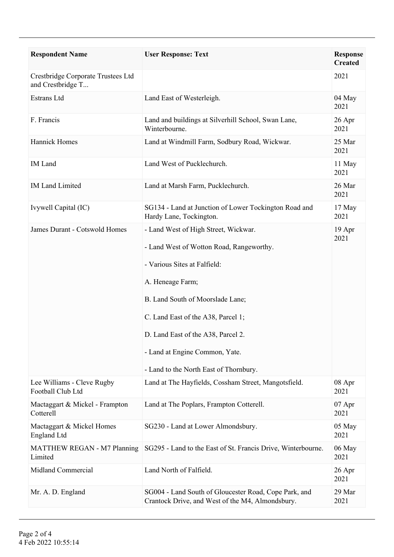| <b>Respondent Name</b>                                  | <b>User Response: Text</b>                                                                                                                                                                                                                                                                                                       | <b>Response</b><br><b>Created</b> |
|---------------------------------------------------------|----------------------------------------------------------------------------------------------------------------------------------------------------------------------------------------------------------------------------------------------------------------------------------------------------------------------------------|-----------------------------------|
| Crestbridge Corporate Trustees Ltd<br>and Crestbridge T |                                                                                                                                                                                                                                                                                                                                  | 2021                              |
| Estrans Ltd                                             | Land East of Westerleigh.                                                                                                                                                                                                                                                                                                        | 04 May<br>2021                    |
| F. Francis                                              | Land and buildings at Silverhill School, Swan Lane,<br>Winterbourne.                                                                                                                                                                                                                                                             | 26 Apr<br>2021                    |
| <b>Hannick Homes</b>                                    | Land at Windmill Farm, Sodbury Road, Wickwar.                                                                                                                                                                                                                                                                                    | 25 Mar<br>2021                    |
| <b>IM</b> Land                                          | Land West of Pucklechurch.                                                                                                                                                                                                                                                                                                       | 11 May<br>2021                    |
| <b>IM Land Limited</b>                                  | Land at Marsh Farm, Pucklechurch.                                                                                                                                                                                                                                                                                                | 26 Mar<br>2021                    |
| Ivywell Capital (IC)                                    | SG134 - Land at Junction of Lower Tockington Road and<br>Hardy Lane, Tockington.                                                                                                                                                                                                                                                 | 17 May<br>2021                    |
| <b>James Durant - Cotswold Homes</b>                    | - Land West of High Street, Wickwar.<br>- Land West of Wotton Road, Rangeworthy.<br>- Various Sites at Falfield:<br>A. Heneage Farm;<br>B. Land South of Moorslade Lane;<br>C. Land East of the A38, Parcel 1;<br>D. Land East of the A38, Parcel 2.<br>- Land at Engine Common, Yate.<br>- Land to the North East of Thornbury. | 19 Apr<br>2021                    |
| Lee Williams - Cleve Rugby<br>Football Club Ltd         | Land at The Hayfields, Cossham Street, Mangotsfield.                                                                                                                                                                                                                                                                             | 08 Apr<br>2021                    |
| Mactaggart & Mickel - Frampton<br>Cotterell             | Land at The Poplars, Frampton Cotterell.                                                                                                                                                                                                                                                                                         | 07 Apr<br>2021                    |
| Mactaggart & Mickel Homes<br><b>England Ltd</b>         | SG230 - Land at Lower Almondsbury.                                                                                                                                                                                                                                                                                               | 05 May<br>2021                    |
| MATTHEW REGAN - M7 Planning<br>Limited                  | SG295 - Land to the East of St. Francis Drive, Winterbourne.                                                                                                                                                                                                                                                                     | 06 May<br>2021                    |
| <b>Midland Commercial</b>                               | Land North of Falfield.                                                                                                                                                                                                                                                                                                          | 26 Apr<br>2021                    |
| Mr. A. D. England                                       | SG004 - Land South of Gloucester Road, Cope Park, and<br>Crantock Drive, and West of the M4, Almondsbury.                                                                                                                                                                                                                        | 29 Mar<br>2021                    |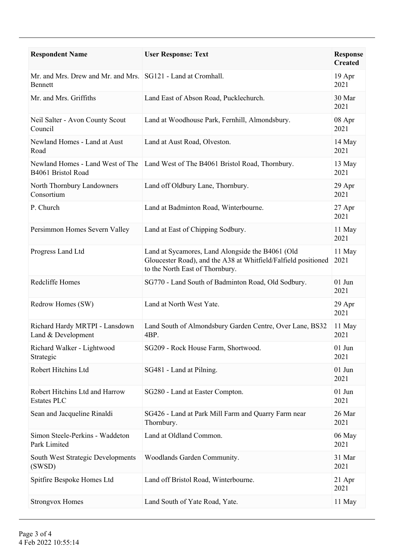| <b>Respondent Name</b>                                                  | <b>User Response: Text</b>                                                                                                                            | <b>Response</b><br><b>Created</b> |
|-------------------------------------------------------------------------|-------------------------------------------------------------------------------------------------------------------------------------------------------|-----------------------------------|
| Mr. and Mrs. Drew and Mr. and Mrs. SG121 - Land at Cromhall.<br>Bennett |                                                                                                                                                       | 19 Apr<br>2021                    |
| Mr. and Mrs. Griffiths                                                  | Land East of Abson Road, Pucklechurch.                                                                                                                | 30 Mar<br>2021                    |
| Neil Salter - Avon County Scout<br>Council                              | Land at Woodhouse Park, Fernhill, Almondsbury.                                                                                                        | 08 Apr<br>2021                    |
| Newland Homes - Land at Aust<br>Road                                    | Land at Aust Road, Olveston.                                                                                                                          | 14 May<br>2021                    |
| Newland Homes - Land West of The<br>B4061 Bristol Road                  | Land West of The B4061 Bristol Road, Thornbury.                                                                                                       | 13 May<br>2021                    |
| North Thornbury Landowners<br>Consortium                                | Land off Oldbury Lane, Thornbury.                                                                                                                     | 29 Apr<br>2021                    |
| P. Church                                                               | Land at Badminton Road, Winterbourne.                                                                                                                 | 27 Apr<br>2021                    |
| Persimmon Homes Severn Valley                                           | Land at East of Chipping Sodbury.                                                                                                                     | 11 May<br>2021                    |
| Progress Land Ltd                                                       | Land at Sycamores, Land Alongside the B4061 (Old<br>Gloucester Road), and the A38 at Whitfield/Falfield positioned<br>to the North East of Thornbury. | 11 May<br>2021                    |
| Redcliffe Homes                                                         | SG770 - Land South of Badminton Road, Old Sodbury.                                                                                                    | $01$ Jun<br>2021                  |
| Redrow Homes (SW)                                                       | Land at North West Yate.                                                                                                                              | 29 Apr<br>2021                    |
| Richard Hardy MRTPI - Lansdown<br>Land & Development                    | Land South of Almondsbury Garden Centre, Over Lane, BS32<br>4BP.                                                                                      | 11 May<br>2021                    |
| Richard Walker - Lightwood<br>Strategic                                 | SG209 - Rock House Farm, Shortwood.                                                                                                                   | $01$ Jun<br>2021                  |
| Robert Hitchins Ltd                                                     | SG481 - Land at Pilning.                                                                                                                              | $01$ Jun<br>2021                  |
| Robert Hitchins Ltd and Harrow<br><b>Estates PLC</b>                    | SG280 - Land at Easter Compton.                                                                                                                       | $01$ Jun<br>2021                  |
| Sean and Jacqueline Rinaldi                                             | SG426 - Land at Park Mill Farm and Quarry Farm near<br>Thornbury.                                                                                     | 26 Mar<br>2021                    |
| Simon Steele-Perkins - Waddeton<br>Park Limited                         | Land at Oldland Common.                                                                                                                               | 06 May<br>2021                    |
| South West Strategic Developments<br>(SWSD)                             | Woodlands Garden Community.                                                                                                                           | 31 Mar<br>2021                    |
| Spitfire Bespoke Homes Ltd                                              | Land off Bristol Road, Winterbourne.                                                                                                                  | 21 Apr<br>2021                    |
| <b>Strongvox Homes</b>                                                  | Land South of Yate Road, Yate.                                                                                                                        | 11 May                            |